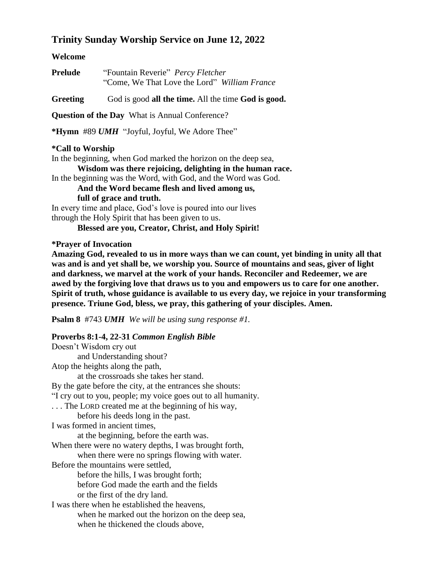# **Trinity Sunday Worship Service on June 12, 2022**

## **Welcome**

| <b>Prelude</b> | "Fountain Reverie" Percy Fletcher             |
|----------------|-----------------------------------------------|
|                | "Come, We That Love the Lord" William France" |

Greeting God is good all the time. All the time God is good.

**Question of the Day** What is Annual Conference?

**\*Hymn** #89 *UMH* "Joyful, Joyful, We Adore Thee"

## **\*Call to Worship**

In the beginning, when God marked the horizon on the deep sea,

### **Wisdom was there rejoicing, delighting in the human race.**

In the beginning was the Word, with God, and the Word was God.

**And the Word became flesh and lived among us, full of grace and truth.**

In every time and place, God's love is poured into our lives through the Holy Spirit that has been given to us.

**Blessed are you, Creator, Christ, and Holy Spirit!**

## **\*Prayer of Invocation**

**Amazing God, revealed to us in more ways than we can count, yet binding in unity all that was and is and yet shall be, we worship you. Source of mountains and seas, giver of light and darkness, we marvel at the work of your hands. Reconciler and Redeemer, we are awed by the forgiving love that draws us to you and empowers us to care for one another. Spirit of truth, whose guidance is available to us every day, we rejoice in your transforming presence. Triune God, bless, we pray, this gathering of your disciples. Amen.**

**Psalm 8** #743 *UMH We will be using sung response #1.*

## **Proverbs 8:1-4, 22-31** *Common English Bible*

Doesn't Wisdom cry out and Understanding shout? Atop the heights along the path, at the crossroads she takes her stand. By the gate before the city, at the entrances she shouts: "I cry out to you, people; my voice goes out to all humanity. . . . The LORD created me at the beginning of his way, before his deeds long in the past. I was formed in ancient times, at the beginning, before the earth was. When there were no watery depths, I was brought forth, when there were no springs flowing with water. Before the mountains were settled, before the hills, I was brought forth; before God made the earth and the fields or the first of the dry land. I was there when he established the heavens, when he marked out the horizon on the deep sea, when he thickened the clouds above,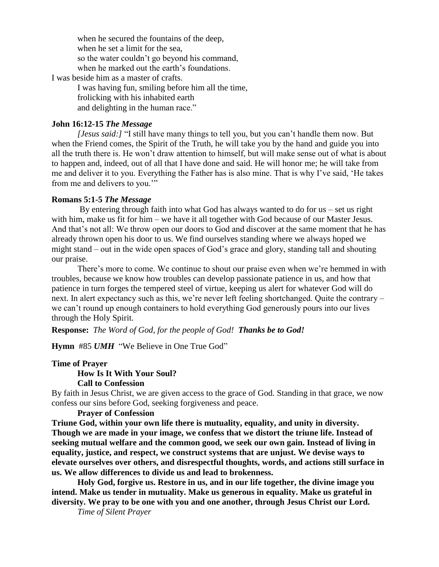when he secured the fountains of the deep, when he set a limit for the sea, so the water couldn't go beyond his command, when he marked out the earth's foundations.

I was beside him as a master of crafts.

I was having fun, smiling before him all the time, frolicking with his inhabited earth and delighting in the human race."

### **John 16:12-15** *The Message*

*[Jesus said:]* "I still have many things to tell you, but you can't handle them now. But when the Friend comes, the Spirit of the Truth, he will take you by the hand and guide you into all the truth there is. He won't draw attention to himself, but will make sense out of what is about to happen and, indeed, out of all that I have done and said. He will honor me; he will take from me and deliver it to you. Everything the Father has is also mine. That is why I've said, 'He takes from me and delivers to you.'"

### **Romans 5:1-5** *The Message*

By entering through faith into what God has always wanted to do for us – set us right with him, make us fit for him – we have it all together with God because of our Master Jesus. And that's not all: We throw open our doors to God and discover at the same moment that he has already thrown open his door to us. We find ourselves standing where we always hoped we might stand – out in the wide open spaces of God's grace and glory, standing tall and shouting our praise.

There's more to come. We continue to shout our praise even when we're hemmed in with troubles, because we know how troubles can develop passionate patience in us, and how that patience in turn forges the tempered steel of virtue, keeping us alert for whatever God will do next. In alert expectancy such as this, we're never left feeling shortchanged. Quite the contrary – we can't round up enough containers to hold everything God generously pours into our lives through the Holy Spirit.

**Response:** *The Word of God, for the people of God! Thanks be to God!*

**Hymn** #85 *UMH* "We Believe in One True God"

### **Time of Prayer**

**How Is It With Your Soul? Call to Confession**

By faith in Jesus Christ, we are given access to the grace of God. Standing in that grace, we now confess our sins before God, seeking forgiveness and peace.

**Prayer of Confession**

**Triune God, within your own life there is mutuality, equality, and unity in diversity. Though we are made in your image, we confess that we distort the triune life. Instead of seeking mutual welfare and the common good, we seek our own gain. Instead of living in equality, justice, and respect, we construct systems that are unjust. We devise ways to elevate ourselves over others, and disrespectful thoughts, words, and actions still surface in us. We allow differences to divide us and lead to brokenness.**

**Holy God, forgive us. Restore in us, and in our life together, the divine image you intend. Make us tender in mutuality. Make us generous in equality. Make us grateful in diversity. We pray to be one with you and one another, through Jesus Christ our Lord.**

*Time of Silent Prayer*